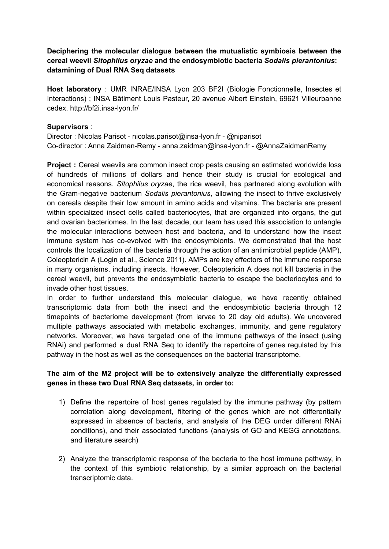## **Deciphering the molecular dialogue between the mutualistic symbiosis between the cereal weevil** *Sitophilus oryzae* **and the endosymbiotic bacteria** *Sodalis pierantonius***: datamining of Dual RNA Seq datasets**

**Host laboratory** : UMR INRAE/INSA Lyon 203 BF2I (Biologie Fonctionnelle, Insectes et Interactions) ; INSA Bâtiment Louis Pasteur, 20 avenue Albert Einstein, 69621 Villeurbanne cedex. http://bf2i.insa-lyon.fr/

## **Supervisors** :

Director : Nicolas Parisot - nicolas.parisot@insa-lyon.fr - @niparisot Co-director : Anna Zaidman-Remy - anna.zaidman@insa-lyon.fr - @AnnaZaidmanRemy

**Project** : Cereal weevils are common insect crop pests causing an estimated worldwide loss of hundreds of millions of dollars and hence their study is crucial for ecological and economical reasons. *Sitophilus oryzae*, the rice weevil, has partnered along evolution with the Gram-negative bacterium *Sodalis pierantonius*, allowing the insect to thrive exclusively on cereals despite their low amount in amino acids and vitamins. The bacteria are present within specialized insect cells called bacteriocytes, that are organized into organs, the gut and ovarian bacteriomes. In the last decade, our team has used this association to untangle the molecular interactions between host and bacteria, and to understand how the insect immune system has co-evolved with the endosymbionts. We demonstrated that the host controls the localization of the bacteria through the action of an antimicrobial peptide (AMP), Coleoptericin A (Login et al., Science 2011). AMPs are key effectors of the immune response in many organisms, including insects. However, Coleoptericin A does not kill bacteria in the cereal weevil, but prevents the endosymbiotic bacteria to escape the bacteriocytes and to invade other host tissues.

In order to further understand this molecular dialogue, we have recently obtained transcriptomic data from both the insect and the endosymbiotic bacteria through 12 timepoints of bacteriome development (from larvae to 20 day old adults). We uncovered multiple pathways associated with metabolic exchanges, immunity, and gene regulatory networks. Moreover, we have targeted one of the immune pathways of the insect (using RNAi) and performed a dual RNA Seq to identify the repertoire of genes regulated by this pathway in the host as well as the consequences on the bacterial transcriptome.

## **The aim of the M2 project will be to extensively analyze the differentially expressed genes in these two Dual RNA Seq datasets, in order to:**

- 1) Define the repertoire of host genes regulated by the immune pathway (by pattern correlation along development, filtering of the genes which are not differentially expressed in absence of bacteria, and analysis of the DEG under different RNAi conditions), and their associated functions (analysis of GO and KEGG annotations, and literature search)
- 2) Analyze the transcriptomic response of the bacteria to the host immune pathway, in the context of this symbiotic relationship, by a similar approach on the bacterial transcriptomic data.